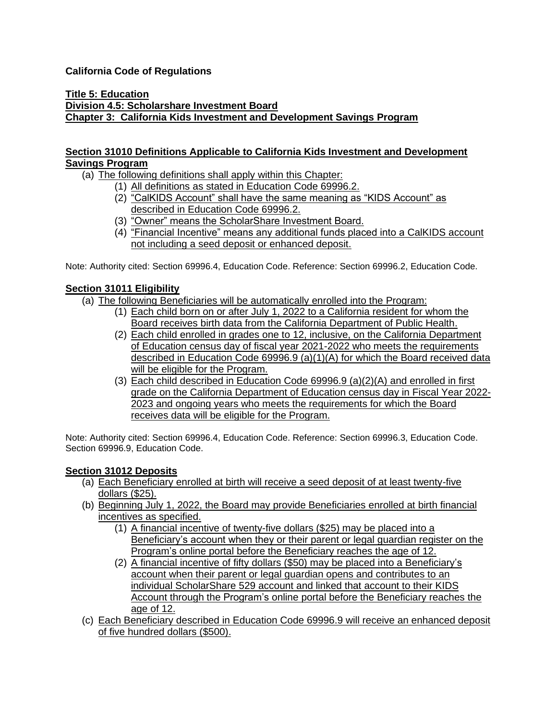### **California Code of Regulations**

#### **Title 5: Education Division 4.5: Scholarshare Investment Board Chapter 3: California Kids Investment and Development Savings Program**

### **Section 31010 Definitions Applicable to California Kids Investment and Development Savings Program**

### (a) The following definitions shall apply within this Chapter:

- (1) All definitions as stated in Education Code 69996.2.
	- (2) "CalKIDS Account" shall have the same meaning as "KIDS Account" as described in Education Code 69996.2.
	- (3) "Owner" means the ScholarShare Investment Board.
	- (4) "Financial Incentive" means any additional funds placed into a CalKIDS account not including a seed deposit or enhanced deposit.

Note: Authority cited: Section 69996.4, Education Code. Reference: Section 69996.2, Education Code.

### **Section 31011 Eligibility**

(a) The following Beneficiaries will be automatically enrolled into the Program:

- (1) Each child born on or after July 1, 2022 to a California resident for whom the Board receives birth data from the California Department of Public Health.
- (2) Each child enrolled in grades one to 12, inclusive, on the California Department of Education census day of fiscal year 2021-2022 who meets the requirements described in Education Code 69996.9 (a)(1)(A) for which the Board received data will be eligible for the Program.
- (3) Each child described in Education Code 69996.9 (a)(2)(A) and enrolled in first grade on the California Department of Education census day in Fiscal Year 2022- 2023 and ongoing years who meets the requirements for which the Board receives data will be eligible for the Program.

Note: Authority cited: Section 69996.4, Education Code. Reference: Section 69996.3, Education Code. Section 69996.9, Education Code.

### **Section 31012 Deposits**

- (a) Each Beneficiary enrolled at birth will receive a seed deposit of at least twenty-five dollars (\$25).
- (b) Beginning July 1, 2022, the Board may provide Beneficiaries enrolled at birth financial incentives as specified.
	- (1) A financial incentive of twenty-five dollars (\$25) may be placed into a Beneficiary's account when they or their parent or legal guardian register on the Program's online portal before the Beneficiary reaches the age of 12.
	- (2) A financial incentive of fifty dollars (\$50) may be placed into a Beneficiary's account when their parent or legal guardian opens and contributes to an individual ScholarShare 529 account and linked that account to their KIDS Account through the Program's online portal before the Beneficiary reaches the age of 12.
- (c) Each Beneficiary described in Education Code 69996.9 will receive an enhanced deposit of five hundred dollars (\$500).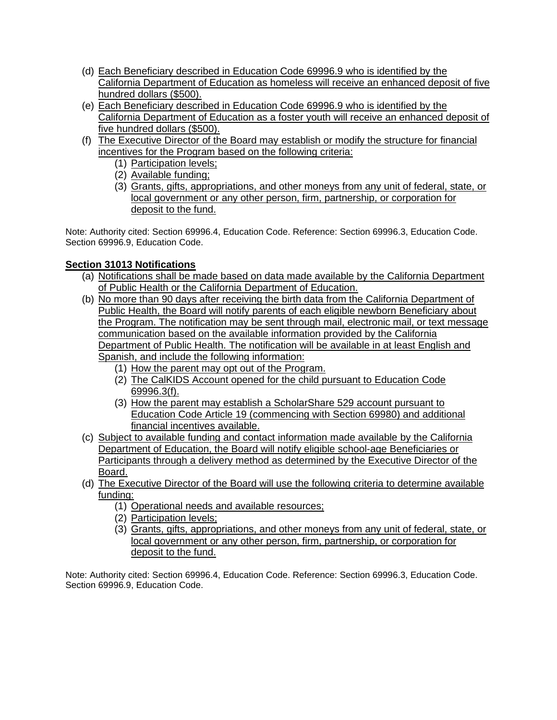- (d) Each Beneficiary described in Education Code 69996.9 who is identified by the California Department of Education as homeless will receive an enhanced deposit of five hundred dollars (\$500).
- (e) Each Beneficiary described in Education Code 69996.9 who is identified by the California Department of Education as a foster youth will receive an enhanced deposit of five hundred dollars (\$500).
- (f) The Executive Director of the Board may establish or modify the structure for financial incentives for the Program based on the following criteria:
	- (1) Participation levels;
	- (2) Available funding;
	- (3) Grants, gifts, appropriations, and other moneys from any unit of federal, state, or local government or any other person, firm, partnership, or corporation for deposit to the fund.

Note: Authority cited: Section 69996.4, Education Code. Reference: Section 69996.3, Education Code. Section 69996.9, Education Code.

# **Section 31013 Notifications**

- (a) Notifications shall be made based on data made available by the California Department of Public Health or the California Department of Education.
- (b) No more than 90 days after receiving the birth data from the California Department of Public Health, the Board will notify parents of each eligible newborn Beneficiary about the Program. The notification may be sent through mail, electronic mail, or text message communication based on the available information provided by the California Department of Public Health. The notification will be available in at least English and Spanish, and include the following information:
	- (1) How the parent may opt out of the Program.
	- (2) The CalKIDS Account opened for the child pursuant to Education Code 69996.3(f).
	- (3) How the parent may establish a ScholarShare 529 account pursuant to Education Code Article 19 (commencing with Section 69980) and additional financial incentives available.
- (c) Subject to available funding and contact information made available by the California Department of Education, the Board will notify eligible school-age Beneficiaries or Participants through a delivery method as determined by the Executive Director of the Board.
- (d) The Executive Director of the Board will use the following criteria to determine available funding:
	- (1) Operational needs and available resources;
	- (2) Participation levels;
	- (3) Grants, gifts, appropriations, and other moneys from any unit of federal, state, or local government or any other person, firm, partnership, or corporation for deposit to the fund.

Note: Authority cited: Section 69996.4, Education Code. Reference: Section 69996.3, Education Code. Section 69996.9, Education Code.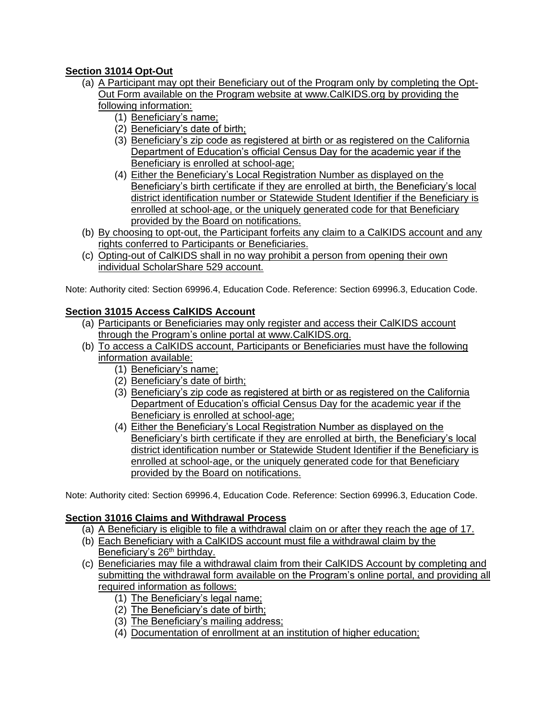# **Section 31014 Opt-Out**

- (a) A Participant may opt their Beneficiary out of the Program only by completing the Opt-Out Form available on the Program website at [www.CalKIDS.org](http://www.calkids.org/) by providing the following information:
	- (1) Beneficiary's name;
	- (2) Beneficiary's date of birth;
	- (3) Beneficiary's zip code as registered at birth or as registered on the California Department of Education's official Census Day for the academic year if the Beneficiary is enrolled at school-age;
	- (4) Either the Beneficiary's Local Registration Number as displayed on the Beneficiary's birth certificate if they are enrolled at birth, the Beneficiary's local district identification number or Statewide Student Identifier if the Beneficiary is enrolled at school-age, or the uniquely generated code for that Beneficiary provided by the Board on notifications.
- (b) By choosing to opt-out, the Participant forfeits any claim to a CalKIDS account and any rights conferred to Participants or Beneficiaries.
- (c) Opting-out of CalKIDS shall in no way prohibit a person from opening their own individual ScholarShare 529 account.

Note: Authority cited: Section 69996.4, Education Code. Reference: Section 69996.3, Education Code.

# **Section 31015 Access CalKIDS Account**

- (a) Participants or Beneficiaries may only register and access their CalKIDS account through the Program's online portal at [www.CalKIDS.org.](http://www.calkids.org/)
- (b) To access a CalKIDS account, Participants or Beneficiaries must have the following information available:
	- (1) Beneficiary's name;
	- (2) Beneficiary's date of birth;
	- (3) Beneficiary's zip code as registered at birth or as registered on the California Department of Education's official Census Day for the academic year if the Beneficiary is enrolled at school-age;
	- (4) Either the Beneficiary's Local Registration Number as displayed on the Beneficiary's birth certificate if they are enrolled at birth, the Beneficiary's local district identification number or Statewide Student Identifier if the Beneficiary is enrolled at school-age, or the uniquely generated code for that Beneficiary provided by the Board on notifications.

Note: Authority cited: Section 69996.4, Education Code. Reference: Section 69996.3, Education Code.

# **Section 31016 Claims and Withdrawal Process**

- (a) A Beneficiary is eligible to file a withdrawal claim on or after they reach the age of 17.
- (b) Each Beneficiary with a CalKIDS account must file a withdrawal claim by the Beneficiary's 26<sup>th</sup> birthday.
- (c) Beneficiaries may file a withdrawal claim from their CalKIDS Account by completing and submitting the withdrawal form available on the Program's online portal, and providing all required information as follows:
	- (1) The Beneficiary's legal name;
	- (2) The Beneficiary's date of birth;
	- (3) The Beneficiary's mailing address;
	- (4) Documentation of enrollment at an institution of higher education;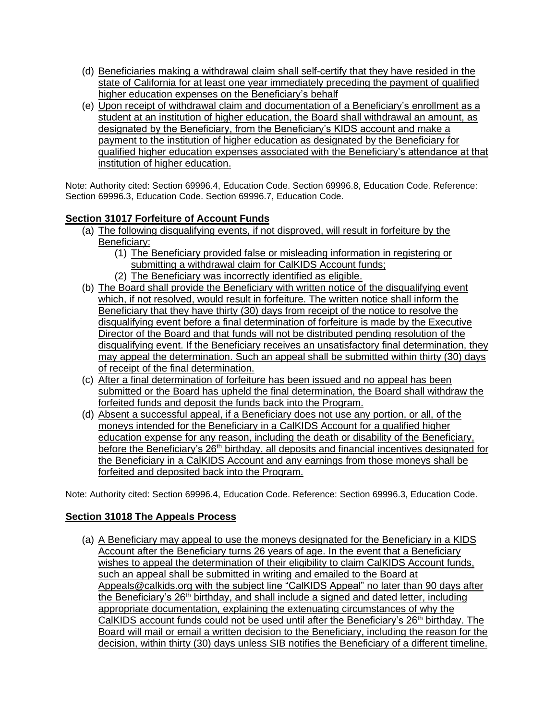- (d) Beneficiaries making a withdrawal claim shall self-certify that they have resided in the state of California for at least one year immediately preceding the payment of qualified higher education expenses on the Beneficiary's behalf
- (e) Upon receipt of withdrawal claim and documentation of a Beneficiary's enrollment as a student at an institution of higher education, the Board shall withdrawal an amount. as designated by the Beneficiary, from the Beneficiary's KIDS account and make a payment to the institution of higher education as designated by the Beneficiary for qualified higher education expenses associated with the Beneficiary's attendance at that institution of higher education.

Note: Authority cited: Section 69996.4, Education Code. Section 69996.8, Education Code. Reference: Section 69996.3, Education Code. Section 69996.7, Education Code.

### **Section 31017 Forfeiture of Account Funds**

- (a) The following disqualifying events, if not disproved, will result in forfeiture by the Beneficiary:
	- (1) The Beneficiary provided false or misleading information in registering or submitting a withdrawal claim for CalKIDS Account funds;
	- (2) The Beneficiary was incorrectly identified as eligible.
- (b) The Board shall provide the Beneficiary with written notice of the disqualifying event which, if not resolved, would result in forfeiture. The written notice shall inform the Beneficiary that they have thirty (30) days from receipt of the notice to resolve the disqualifying event before a final determination of forfeiture is made by the Executive Director of the Board and that funds will not be distributed pending resolution of the disqualifying event. If the Beneficiary receives an unsatisfactory final determination, they may appeal the determination. Such an appeal shall be submitted within thirty (30) days of receipt of the final determination.
- (c) After a final determination of forfeiture has been issued and no appeal has been submitted or the Board has upheld the final determination, the Board shall withdraw the forfeited funds and deposit the funds back into the Program.
- (d) Absent a successful appeal, if a Beneficiary does not use any portion, or all, of the moneys intended for the Beneficiary in a CalKIDS Account for a qualified higher education expense for any reason, including the death or disability of the Beneficiary, before the Beneficiary's 26<sup>th</sup> birthday, all deposits and financial incentives designated for the Beneficiary in a CalKIDS Account and any earnings from those moneys shall be forfeited and deposited back into the Program.

Note: Authority cited: Section 69996.4, Education Code. Reference: Section 69996.3, Education Code.

# **Section 31018 The Appeals Process**

(a) A Beneficiary may appeal to use the moneys designated for the Beneficiary in a KIDS Account after the Beneficiary turns 26 years of age. In the event that a Beneficiary wishes to appeal the determination of their eligibility to claim CalKIDS Account funds, such an appeal shall be submitted in writing and emailed to the Board at [Appeals@calkids.org](mailto:Appeals@calkids.org) with the subject line "CalKIDS Appeal" no later than 90 days after the Beneficiary's  $26<sup>th</sup>$  birthday, and shall include a signed and dated letter, including appropriate documentation, explaining the extenuating circumstances of why the CalKIDS account funds could not be used until after the Beneficiary's  $26<sup>th</sup>$  birthday. The Board will mail or email a written decision to the Beneficiary, including the reason for the decision, within thirty (30) days unless SIB notifies the Beneficiary of a different timeline.